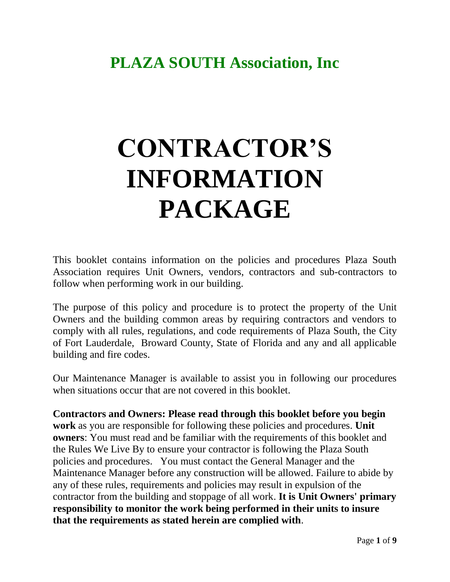# **PLAZA SOUTH Association, Inc**

# **CONTRACTOR'S INFORMATION PACKAGE**

This booklet contains information on the policies and procedures Plaza South Association requires Unit Owners, vendors, contractors and sub-contractors to follow when performing work in our building.

The purpose of this policy and procedure is to protect the property of the Unit Owners and the building common areas by requiring contractors and vendors to comply with all rules, regulations, and code requirements of Plaza South, the City of Fort Lauderdale, Broward County, State of Florida and any and all applicable building and fire codes.

Our Maintenance Manager is available to assist you in following our procedures when situations occur that are not covered in this booklet.

**Contractors and Owners: Please read through this booklet before you begin work** as you are responsible for following these policies and procedures. **Unit owners**: You must read and be familiar with the requirements of this booklet and the Rules We Live By to ensure your contractor is following the Plaza South policies and procedures. You must contact the General Manager and the Maintenance Manager before any construction will be allowed. Failure to abide by any of these rules, requirements and policies may result in expulsion of the contractor from the building and stoppage of all work. **It is Unit Owners' primary responsibility to monitor the work being performed in their units to insure that the requirements as stated herein are complied with**.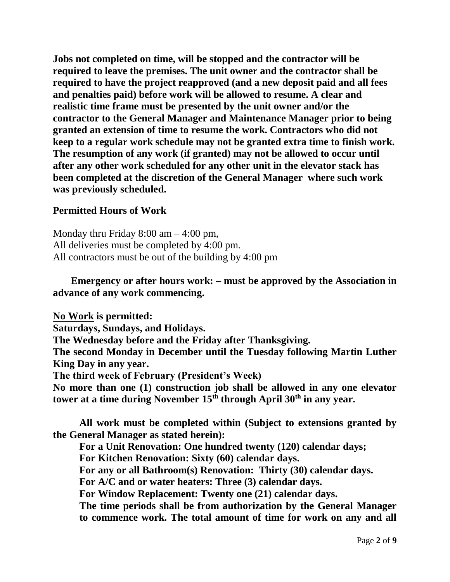**Jobs not completed on time, will be stopped and the contractor will be required to leave the premises. The unit owner and the contractor shall be required to have the project reapproved (and a new deposit paid and all fees and penalties paid) before work will be allowed to resume. A clear and realistic time frame must be presented by the unit owner and/or the contractor to the General Manager and Maintenance Manager prior to being granted an extension of time to resume the work. Contractors who did not keep to a regular work schedule may not be granted extra time to finish work. The resumption of any work (if granted) may not be allowed to occur until after any other work scheduled for any other unit in the elevator stack has been completed at the discretion of the General Manager where such work was previously scheduled.**

# **Permitted Hours of Work**

Monday thru Friday  $8:00 \text{ am} - 4:00 \text{ pm}$ , All deliveries must be completed by 4:00 pm. All contractors must be out of the building by 4:00 pm

# **Emergency or after hours work: – must be approved by the Association in advance of any work commencing.**

**No Work is permitted: Saturdays, Sundays, and Holidays. The Wednesday before and the Friday after Thanksgiving. The second Monday in December until the Tuesday following Martin Luther King Day in any year. The third week of February (President's Week) No more than one (1) construction job shall be allowed in any one elevator tower at a time during November 15th through April 30th in any year.**

**All work must be completed within (Subject to extensions granted by the General Manager as stated herein):**

**For a Unit Renovation: One hundred twenty (120) calendar days;** 

**For Kitchen Renovation: Sixty (60) calendar days.**

**For any or all Bathroom(s) Renovation: Thirty (30) calendar days.**

**For A/C and or water heaters: Three (3) calendar days.**

**For Window Replacement: Twenty one (21) calendar days.**

**The time periods shall be from authorization by the General Manager to commence work. The total amount of time for work on any and all**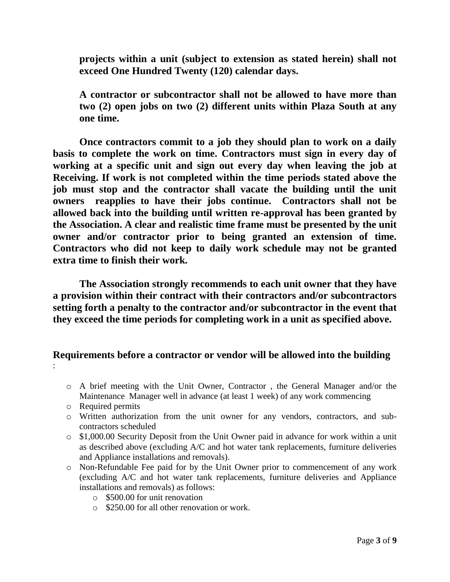**projects within a unit (subject to extension as stated herein) shall not exceed One Hundred Twenty (120) calendar days.**

**A contractor or subcontractor shall not be allowed to have more than two (2) open jobs on two (2) different units within Plaza South at any one time.**

**Once contractors commit to a job they should plan to work on a daily basis to complete the work on time. Contractors must sign in every day of working at a specific unit and sign out every day when leaving the job at Receiving. If work is not completed within the time periods stated above the job must stop and the contractor shall vacate the building until the unit owners reapplies to have their jobs continue. Contractors shall not be allowed back into the building until written re-approval has been granted by the Association. A clear and realistic time frame must be presented by the unit owner and/or contractor prior to being granted an extension of time. Contractors who did not keep to daily work schedule may not be granted extra time to finish their work.** 

**The Association strongly recommends to each unit owner that they have a provision within their contract with their contractors and/or subcontractors setting forth a penalty to the contractor and/or subcontractor in the event that they exceed the time periods for completing work in a unit as specified above.**

# **Requirements before a contractor or vendor will be allowed into the building**

- o A brief meeting with the Unit Owner, Contractor , the General Manager and/or the Maintenance Manager well in advance (at least 1 week) of any work commencing
- o Required permits

:

- o Written authorization from the unit owner for any vendors, contractors, and subcontractors scheduled
- o \$1,000.00 Security Deposit from the Unit Owner paid in advance for work within a unit as described above (excluding A/C and hot water tank replacements, furniture deliveries and Appliance installations and removals).
- o Non-Refundable Fee paid for by the Unit Owner prior to commencement of any work (excluding A/C and hot water tank replacements, furniture deliveries and Appliance installations and removals) as follows:
	- o \$500.00 for unit renovation
	- o \$250.00 for all other renovation or work.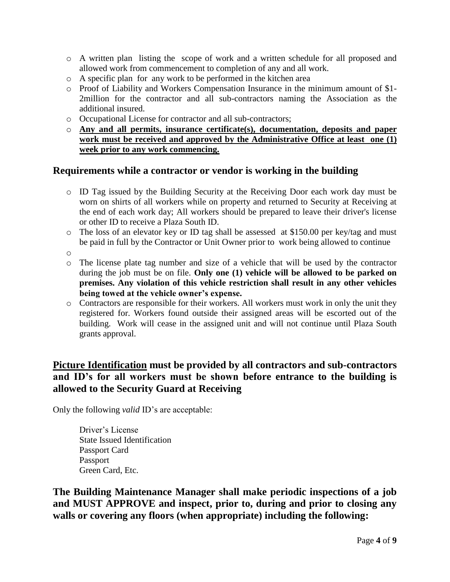- o A written plan listing the scope of work and a written schedule for all proposed and allowed work from commencement to completion of any and all work.
- o A specific plan for any work to be performed in the kitchen area
- o Proof of Liability and Workers Compensation Insurance in the minimum amount of \$1- 2million for the contractor and all sub-contractors naming the Association as the additional insured.
- o Occupational License for contractor and all sub-contractors;
- o **Any and all permits, insurance certificate(s), documentation, deposits and paper work must be received and approved by the Administrative Office at least one (1) week prior to any work commencing.**

#### **Requirements while a contractor or vendor is working in the building**

- o ID Tag issued by the Building Security at the Receiving Door each work day must be worn on shirts of all workers while on property and returned to Security at Receiving at the end of each work day; All workers should be prepared to leave their driver's license or other ID to receive a Plaza South ID.
- o The loss of an elevator key or ID tag shall be assessed at \$150.00 per key/tag and must be paid in full by the Contractor or Unit Owner prior to work being allowed to continue
- o
- o The license plate tag number and size of a vehicle that will be used by the contractor during the job must be on file. **Only one (1) vehicle will be allowed to be parked on premises. Any violation of this vehicle restriction shall result in any other vehicles being towed at the vehicle owner's expense.**
- o Contractors are responsible for their workers. All workers must work in only the unit they registered for. Workers found outside their assigned areas will be escorted out of the building. Work will cease in the assigned unit and will not continue until Plaza South grants approval.

# **Picture Identification must be provided by all contractors and sub-contractors and ID's for all workers must be shown before entrance to the building is allowed to the Security Guard at Receiving**

Only the following *valid* ID's are acceptable:

Driver's License State Issued Identification Passport Card Passport Green Card, Etc.

**The Building Maintenance Manager shall make periodic inspections of a job and MUST APPROVE and inspect, prior to, during and prior to closing any walls or covering any floors (when appropriate) including the following:**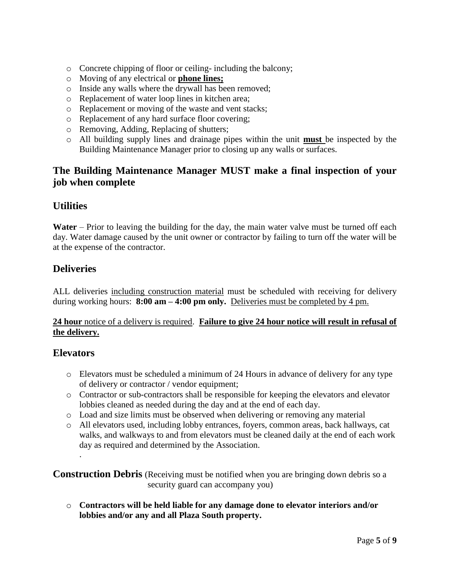- o Concrete chipping of floor or ceiling- including the balcony;
- o Moving of any electrical or **phone lines;**
- o Inside any walls where the drywall has been removed;
- o Replacement of water loop lines in kitchen area;
- o Replacement or moving of the waste and vent stacks;
- o Replacement of any hard surface floor covering;
- o Removing, Adding, Replacing of shutters;
- o All building supply lines and drainage pipes within the unit **must** be inspected by the Building Maintenance Manager prior to closing up any walls or surfaces.

# **The Building Maintenance Manager MUST make a final inspection of your job when complete**

# **Utilities**

**Water** – Prior to leaving the building for the day, the main water valve must be turned off each day. Water damage caused by the unit owner or contractor by failing to turn off the water will be at the expense of the contractor.

# **Deliveries**

ALL deliveries including construction material must be scheduled with receiving for delivery during working hours: **8:00 am – 4:00 pm only.** Deliveries must be completed by 4 pm.

#### **24 hour** notice of a delivery is required. **Failure to give 24 hour notice will result in refusal of the delivery.**

#### **Elevators**

- o Elevators must be scheduled a minimum of 24 Hours in advance of delivery for any type of delivery or contractor / vendor equipment;
- o Contractor or sub-contractors shall be responsible for keeping the elevators and elevator lobbies cleaned as needed during the day and at the end of each day.
- o Load and size limits must be observed when delivering or removing any material
- o All elevators used, including lobby entrances, foyers, common areas, back hallways, cat walks, and walkways to and from elevators must be cleaned daily at the end of each work day as required and determined by the Association. .

**Construction Debris** (Receiving must be notified when you are bringing down debris so a security guard can accompany you)

o **Contractors will be held liable for any damage done to elevator interiors and/or lobbies and/or any and all Plaza South property.**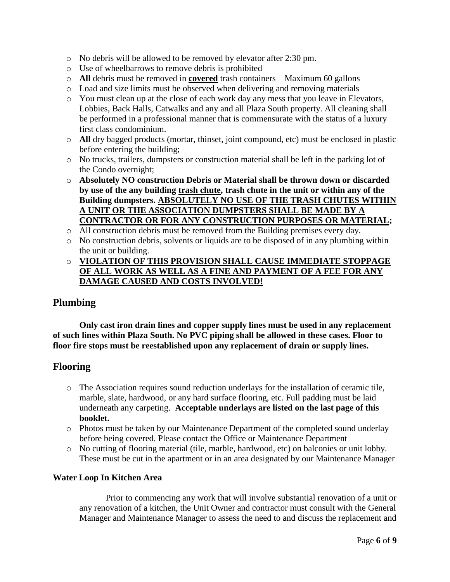- o No debris will be allowed to be removed by elevator after 2:30 pm.
- o Use of wheelbarrows to remove debris is prohibited
- o **All** debris must be removed in **covered** trash containers Maximum 60 gallons
- o Load and size limits must be observed when delivering and removing materials
- o You must clean up at the close of each work day any mess that you leave in Elevators, Lobbies, Back Halls, Catwalks and any and all Plaza South property. All cleaning shall be performed in a professional manner that is commensurate with the status of a luxury first class condominium.
- o **All** dry bagged products (mortar, thinset, joint compound, etc) must be enclosed in plastic before entering the building;
- o No trucks, trailers, dumpsters or construction material shall be left in the parking lot of the Condo overnight;
- o **Absolutely NO construction Debris or Material shall be thrown down or discarded by use of the any building trash chute, trash chute in the unit or within any of the Building dumpsters. ABSOLUTELY NO USE OF THE TRASH CHUTES WITHIN A UNIT OR THE ASSOCIATION DUMPSTERS SHALL BE MADE BY A CONTRACTOR OR FOR ANY CONSTRUCTION PURPOSES OR MATERIAL;**
- o All construction debris must be removed from the Building premises every day.
- o No construction debris, solvents or liquids are to be disposed of in any plumbing within the unit or building.

### o **VIOLATION OF THIS PROVISION SHALL CAUSE IMMEDIATE STOPPAGE OF ALL WORK AS WELL AS A FINE AND PAYMENT OF A FEE FOR ANY DAMAGE CAUSED AND COSTS INVOLVED!**

# **Plumbing**

**Only cast iron drain lines and copper supply lines must be used in any replacement of such lines within Plaza South. No PVC piping shall be allowed in these cases. Floor to floor fire stops must be reestablished upon any replacement of drain or supply lines.**

# **Flooring**

- o The Association requires sound reduction underlays for the installation of ceramic tile, marble, slate, hardwood, or any hard surface flooring, etc. Full padding must be laid underneath any carpeting. **Acceptable underlays are listed on the last page of this booklet.**
- o Photos must be taken by our Maintenance Department of the completed sound underlay before being covered. Please contact the Office or Maintenance Department
- o No cutting of flooring material (tile, marble, hardwood, etc) on balconies or unit lobby. These must be cut in the apartment or in an area designated by our Maintenance Manager

#### **Water Loop In Kitchen Area**

Prior to commencing any work that will involve substantial renovation of a unit or any renovation of a kitchen, the Unit Owner and contractor must consult with the General Manager and Maintenance Manager to assess the need to and discuss the replacement and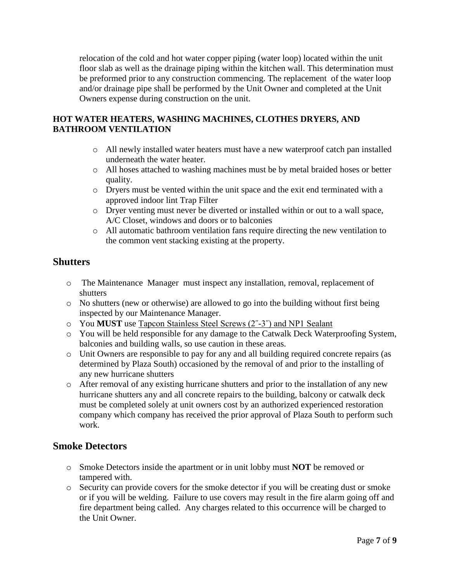relocation of the cold and hot water copper piping (water loop) located within the unit floor slab as well as the drainage piping within the kitchen wall. This determination must be preformed prior to any construction commencing. The replacement of the water loop and/or drainage pipe shall be performed by the Unit Owner and completed at the Unit Owners expense during construction on the unit.

# **HOT WATER HEATERS, WASHING MACHINES, CLOTHES DRYERS, AND BATHROOM VENTILATION**

- o All newly installed water heaters must have a new waterproof catch pan installed underneath the water heater.
- o All hoses attached to washing machines must be by metal braided hoses or better quality.
- o Dryers must be vented within the unit space and the exit end terminated with a approved indoor lint Trap Filter
- o Dryer venting must never be diverted or installed within or out to a wall space, A/C Closet, windows and doors or to balconies
- o All automatic bathroom ventilation fans require directing the new ventilation to the common vent stacking existing at the property.

# **Shutters**

- o The Maintenance Manager must inspect any installation, removal, replacement of shutters
- o No shutters (new or otherwise) are allowed to go into the building without first being inspected by our Maintenance Manager.
- o You **MUST** use Tapcon Stainless Steel Screws (2˝-3˝) and NP1 Sealant
- o You will be held responsible for any damage to the Catwalk Deck Waterproofing System, balconies and building walls, so use caution in these areas.
- o Unit Owners are responsible to pay for any and all building required concrete repairs (as determined by Plaza South) occasioned by the removal of and prior to the installing of any new hurricane shutters
- o After removal of any existing hurricane shutters and prior to the installation of any new hurricane shutters any and all concrete repairs to the building, balcony or catwalk deck must be completed solely at unit owners cost by an authorized experienced restoration company which company has received the prior approval of Plaza South to perform such work.

# **Smoke Detectors**

- o Smoke Detectors inside the apartment or in unit lobby must **NOT** be removed or tampered with.
- o Security can provide covers for the smoke detector if you will be creating dust or smoke or if you will be welding. Failure to use covers may result in the fire alarm going off and fire department being called. Any charges related to this occurrence will be charged to the Unit Owner.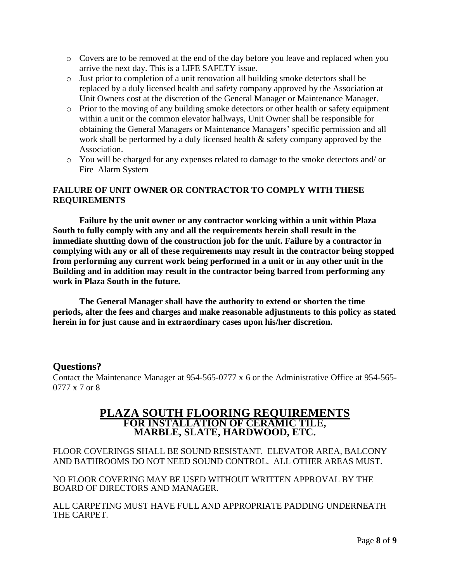- o Covers are to be removed at the end of the day before you leave and replaced when you arrive the next day. This is a LIFE SAFETY issue.
- o Just prior to completion of a unit renovation all building smoke detectors shall be replaced by a duly licensed health and safety company approved by the Association at Unit Owners cost at the discretion of the General Manager or Maintenance Manager.
- o Prior to the moving of any building smoke detectors or other health or safety equipment within a unit or the common elevator hallways, Unit Owner shall be responsible for obtaining the General Managers or Maintenance Managers' specific permission and all work shall be performed by a duly licensed health & safety company approved by the Association.
- o You will be charged for any expenses related to damage to the smoke detectors and/ or Fire Alarm System

## **FAILURE OF UNIT OWNER OR CONTRACTOR TO COMPLY WITH THESE REQUIREMENTS**

**Failure by the unit owner or any contractor working within a unit within Plaza South to fully comply with any and all the requirements herein shall result in the immediate shutting down of the construction job for the unit. Failure by a contractor in complying with any or all of these requirements may result in the contractor being stopped from performing any current work being performed in a unit or in any other unit in the Building and in addition may result in the contractor being barred from performing any work in Plaza South in the future.**

**The General Manager shall have the authority to extend or shorten the time periods, alter the fees and charges and make reasonable adjustments to this policy as stated herein in for just cause and in extraordinary cases upon his/her discretion.**

#### **Questions?**

Contact the Maintenance Manager at 954-565-0777 x 6 or the Administrative Office at 954-565- 0777 x 7 or 8

# **PLAZA SOUTH FLOORING REQUIREMENTS FOR INSTALLATION OF CERAMIC TILE, MARBLE, SLATE, HARDWOOD, ETC.**

FLOOR COVERINGS SHALL BE SOUND RESISTANT. ELEVATOR AREA, BALCONY AND BATHROOMS DO NOT NEED SOUND CONTROL. ALL OTHER AREAS MUST.

NO FLOOR COVERING MAY BE USED WITHOUT WRITTEN APPROVAL BY THE BOARD OF DIRECTORS AND MANAGER.

ALL CARPETING MUST HAVE FULL AND APPROPRIATE PADDING UNDERNEATH THE CARPET.